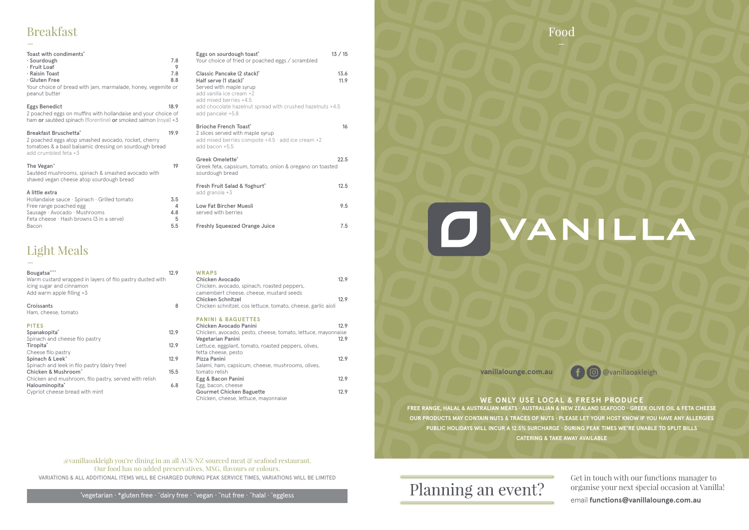| Bougatsa~~                                                | 12.9 | <b>WRAPS</b>          |
|-----------------------------------------------------------|------|-----------------------|
| Warm custard wrapped in layers of filo pastry dusted with |      | <b>Chicken Avo</b>    |
| icing sugar and cinnamon                                  |      | Chicken, avo          |
| Add warm apple filling +3                                 |      | camembert             |
|                                                           |      | <b>Chicken Sch</b>    |
| Croissants                                                | 8    | Chicken sch           |
| Ham, cheese, tomato                                       |      |                       |
|                                                           |      | <b>PANINI &amp; I</b> |
| <b>PITES</b>                                              |      | <b>Chicken Avo</b>    |
| Spanakopita <sup>®</sup>                                  | 12.9 | Chicken, avo          |
| Spinach and cheese filo pastry                            |      | Vegetarian F          |
| Tiropita°                                                 | 12.9 | Lettuce, egg          |
| Cheese filo pastry                                        |      | fetta cheese          |
| Spinach & Leek <sup>^</sup>                               | 12.9 | Pizza Panini          |
| Spinach and leek in filo pastry (dairy free)              |      | Salami, ham,          |
| Chicken & Mushroom <sup>Y</sup>                           | 15.5 | tomato relish         |
| Chicken and mushroom, filo pastry, served with relish     |      | Egg & Bacor           |
| Halouminopita <sup>®</sup>                                | 6.8  | Egg, bacon,           |
| Cypriot cheese bread with mint                            |      | Gourmet Cr            |
|                                                           |      | Chielcan elec         |

| WRAPS<br>Chicken Avocado                                                                                                                                                                            | 12.9         |
|-----------------------------------------------------------------------------------------------------------------------------------------------------------------------------------------------------|--------------|
| Chicken, avocado, spinach, roasted peppers,<br>camembert cheese, cheese, mustard seeds<br><b>Chicken Schnitzel</b><br>Chicken schnitzel, cos lettuce, tomato, cheese, garlic aioli                  | 12.9         |
| <b>PANINI &amp; BAGUETTES</b><br>Chicken Avocado Panini<br>Chicken, avocado, pesto, cheese, tomato, lettuce, mayonnaise<br>Vegetarian Panini<br>Lettuce, eggplant, tomato, roasted peppers, olives, | 12.9<br>12.9 |
| fetta cheese, pesto<br>Pizza Panini<br>Salami, ham, capsicum, cheese, mushrooms, olives,                                                                                                            | 12.9         |
| tomato relish<br>Egg & Bacon Panini                                                                                                                                                                 | 12.9         |
| Egg, bacon, cheese<br><b>Gourmet Chicken Baguette</b><br>Chicken, cheese, lettuce, mayonnaise                                                                                                       | 12.9         |

## Breakfast ں<br>\_

**FREE RANGE, HALAL & AUSTRALIAN MEATS · AUSTRALIAN & NEW ZEALAND SEAFOOD · GREEK OLIVE OIL & FETA CHEESE OUR PRODUCTS MAY CONTAIN NUTS & TRACES OF NUTS · PLEASE LET YOUR HOST KNOW IF YOU HAVE ANY ALLERGIES PUBLIC HOLIDAYS WILL INCUR A 12.5% SURCHARGE · DURING PEAK TIMES WE'RE UNABLE TO SPLIT BILLS CATERING & TAKE AWAY AVAILABLE**

## Planning an event?



# DVANICLA



@vanillaoakleigh you're dining in an all AUS/NZ sourced meat & seafood restaurant. Our food has no added preservatives, MSG, flavours or colours. VARIATIONS & ALL ADDITIONAL ITEMS WILL BE CHARGED DURING PEAK SERVICE TIMES, VARIATIONS WILL BE LIMITED

˚vegetarian · \*gluten free · ¨dairy free · ˆvegan · ˜nut free · ˇhalal · ¯eggless

vanillalounge.com.au <sup>1</sup> <sup>1</sup> © @vanillaoakleigh

### **WE ONLY USE LOCAL & FRESH PRODUCE**

| Toast with condiments <sup>®</sup><br>· Sourdough<br>· Fruit Loaf<br>· Raisin Toast<br>· Gluten Free<br>Your choice of bread with jam, marmalade, honey, vegemite or<br>peanut butter | 7.8<br>9<br>7.8<br>8.8      |
|---------------------------------------------------------------------------------------------------------------------------------------------------------------------------------------|-----------------------------|
| Eggs Benedict<br>2 poached eggs on muffins with hollandaise and your choice of<br>ham or sautéed spinach (florentine) or smoked salmon (royal) +3                                     | 18.9                        |
| Breakfast Bruschetta <sup>®</sup><br>2 poached eggs atop smashed avocado, rocket, cherry<br>tomatoes & a basil balsamic dressing on sourdough bread<br>add crumbled feta +3           | 19.9                        |
| The Vegan <sup>^</sup><br>Sautéed mushrooms, spinach & smashed avocado with<br>shaved vegan cheese atop sourdough bread                                                               | 19                          |
| A little extra<br>Hollandaise sauce · Spinach · Grilled tomato<br>Free range poached egg<br>Sausage · Avocado · Mushrooms<br>Feta cheese $\cdot$ Hash browns (3 in a serve)<br>Bacon  | 3.5<br>4<br>4.8<br>5<br>5.5 |

## Light Meals \_<br>\_

| Eggs on sourdough toast <sup>®</sup><br>Your choice of fried or poached eggs / scrambled                                                                                                                                                      | 13 / 15      |
|-----------------------------------------------------------------------------------------------------------------------------------------------------------------------------------------------------------------------------------------------|--------------|
| Classic Pancake (2 stack) <sup>°</sup><br>Half serve (1 stack) <sup>°</sup><br>Served with maple syrup<br>add vanilla ice cream +2<br>add mixed berries +4.5<br>add chocolate hazelnut spread with crushed hazelnuts +4.5<br>add pancake +5.8 | 13.6<br>11.9 |
| <b>Brioche French Toast®</b><br>2 slices served with maple syrup<br>add mixed berries compote $+4.5 \cdot$ add ice cream $+2$<br>add bacon +5.5                                                                                               | 16           |
| Greek Omelette <sup>®</sup><br>Greek feta, capsicum, tomato, onion & oregano on toasted<br>sourdough bread                                                                                                                                    | 22.5         |
| Fresh Fruit Salad & Yoghurt°<br>add granola +3                                                                                                                                                                                                | 12.5         |
| <b>Low Fat Bircher Muesli</b><br>served with berries                                                                                                                                                                                          | 9.5          |
| <b>Freshly Squeezed Orange Juice</b>                                                                                                                                                                                                          | 7.5          |

Get in touch with our functions manager to organise your next special occasion at Vanilla!

email **functions@vanillalounge.com.au**